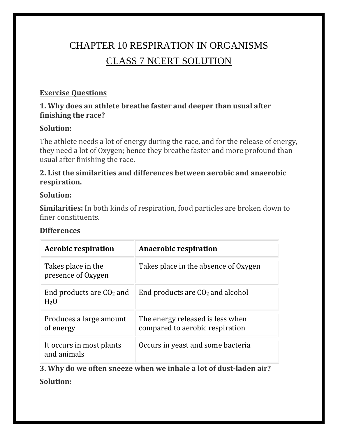# CHAPTER 10 RESPIRATION IN ORGANISMS CLASS 7 NCERT SOLUTION

#### **Exercise Questions**

#### **1. Why does an athlete breathe faster and deeper than usual after finishing the race?**

#### **Solution:**

The athlete needs a lot of energy during the race, and for the release of energy, they need a lot of Oxygen; hence they breathe faster and more profound than usual after finishing the race.

#### **2. List the similarities and differences between aerobic and anaerobic respiration.**

#### **Solution:**

**Similarities:** In both kinds of respiration, food particles are broken down to finer constituents.

#### **Differences**

| <b>Aerobic respiration</b>               | <b>Anaerobic respiration</b>                                        |  |  |  |  |
|------------------------------------------|---------------------------------------------------------------------|--|--|--|--|
| Takes place in the<br>presence of Oxygen | Takes place in the absence of Oxygen                                |  |  |  |  |
| End products are $CO2$ and<br>$H2$ O     | End products are $CO2$ and alcohol                                  |  |  |  |  |
| Produces a large amount<br>of energy     | The energy released is less when<br>compared to aerobic respiration |  |  |  |  |
| It occurs in most plants<br>and animals  | Occurs in yeast and some bacteria                                   |  |  |  |  |

**3. Why do we often sneeze when we inhale a lot of dust-laden air?**

**Solution:**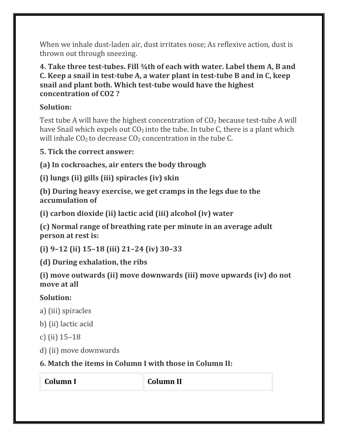When we inhale dust-laden air, dust irritates nose; As reflexive action, dust is thrown out through sneezing.

#### **4. Take three test-tubes. Fill ¾th of each with water. Label them A, B and C. Keep a snail in test-tube A, a water plant in test-tube B and in C, keep snail and plant both. Which test-tube would have the highest concentration of CO2 ?**

## **Solution:**

Test tube A will have the highest concentration of  $CO<sub>2</sub>$  because test-tube A will have Snail which expels out  $CO<sub>2</sub>$  into the tube. In tube C, there is a plant which will inhale  $CO<sub>2</sub>$  to decrease  $CO<sub>2</sub>$  concentration in the tube C.

**5. Tick the correct answer:**

**(a) In cockroaches, air enters the body through**

**(i) lungs (ii) gills (iii) spiracles (iv) skin**

**(b) During heavy exercise, we get cramps in the legs due to the accumulation of**

**(i) carbon dioxide (ii) lactic acid (iii) alcohol (iv) water**

**(c) Normal range of breathing rate per minute in an average adult person at rest is:**

**(i) 9–12 (ii) 15–18 (iii) 21–24 (iv) 30–33**

**(d) During exhalation, the ribs**

**(i) move outwards (ii) move downwards (iii) move upwards (iv) do not move at all**

## **Solution:**

- a) (iii) spiracles
- b) (ii) lactic acid
- c) (ii) 15–18
- d) (ii) move downwards

# **6. Match the items in Column I with those in Column II:**

| Column l | <b>Column II</b> |
|----------|------------------|
|----------|------------------|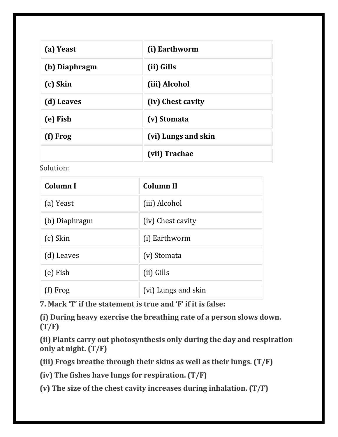| (a) Yeast     | (i) Earthworm       |
|---------------|---------------------|
| (b) Diaphragm | (ii) Gills          |
| (c) Skin      | (iii) Alcohol       |
| (d) Leaves    | (iv) Chest cavity   |
| (e) Fish      | (v) Stomata         |
| (f) Frog      | (vi) Lungs and skin |
|               | (vii) Trachae       |

Solution:

| <b>Column I</b> | <b>Column II</b>    |  |  |
|-----------------|---------------------|--|--|
| (a) Yeast       | (iii) Alcohol       |  |  |
| (b) Diaphragm   | (iv) Chest cavity   |  |  |
| (c) Skin        | (i) Earthworm       |  |  |
| (d) Leaves      | (v) Stomata         |  |  |
| (e) Fish        | (ii) Gills          |  |  |
| Frog            | (vi) Lungs and skin |  |  |

**7. Mark 'T' if the statement is true and 'F' if it is false:**

**(i) During heavy exercise the breathing rate of a person slows down. (T/F)**

**(ii) Plants carry out photosynthesis only during the day and respiration only at night. (T/F)**

**(iii) Frogs breathe through their skins as well as their lungs. (T/F)**

**(iv) The fishes have lungs for respiration. (T/F)**

**(v) The size of the chest cavity increases during inhalation. (T/F)**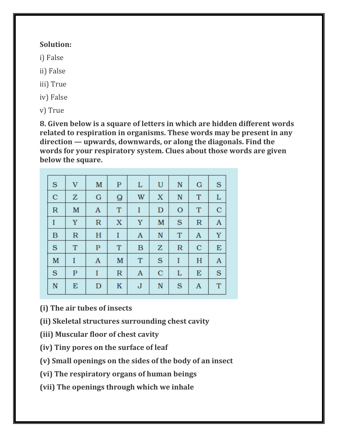### **Solution:**

i) False

ii) False

iii) True

iv) False

v) True

**8. Given below is a square of letters in which are hidden different words related to respiration in organisms. These words may be present in any direction — upwards, downwards, or along the diagonals. Find the words for your respiratory system. Clues about those words are given below the square.**

| S            | $\mathbf V$  | M                | $\mathbf P$ | L           | U           | $\mathbb N$  | $\bf G$      | S            |
|--------------|--------------|------------------|-------------|-------------|-------------|--------------|--------------|--------------|
| $\mathbf C$  | Z            | $\bf G$          | Q           | W           | $\mathbf X$ | $\mathbb N$  | $\mathbf T$  | L            |
| $\mathbb{R}$ | M            | $\mathbf{A}$     | T           | I           | $\mathbf D$ | $\mathbf O$  | T            | $\mathbf C$  |
| I            | Y            | $\mathbb{R}$     | X           | Y           | M           | S            | $\mathbb{R}$ | $\mathbf{A}$ |
| B            | $\mathbb{R}$ | H                | I           | A           | $\mathbf N$ | T            | A            | Y            |
| S            | T            | $\mathbf{P}$     | T           | B           | Z           | $\mathbb{R}$ | $\mathbf C$  | E            |
| M            | I            | $\boldsymbol{A}$ | M           | T           | S           | I            | H            | A            |
| S            | $\mathbf P$  | I                | $\mathbb R$ | A           | $\mathbf C$ | L            | E            | S            |
| N            | E            | $\mathbf D$      | K           | $\mathbf J$ | $\mathbf N$ | S            | A            | T            |

**(i) The air tubes of insects**

- **(ii) Skeletal structures surrounding chest cavity**
- **(iii) Muscular floor of chest cavity**
- **(iv) Tiny pores on the surface of leaf**
- **(v) Small openings on the sides of the body of an insect**
- **(vi) The respiratory organs of human beings**
- **(vii) The openings through which we inhale**